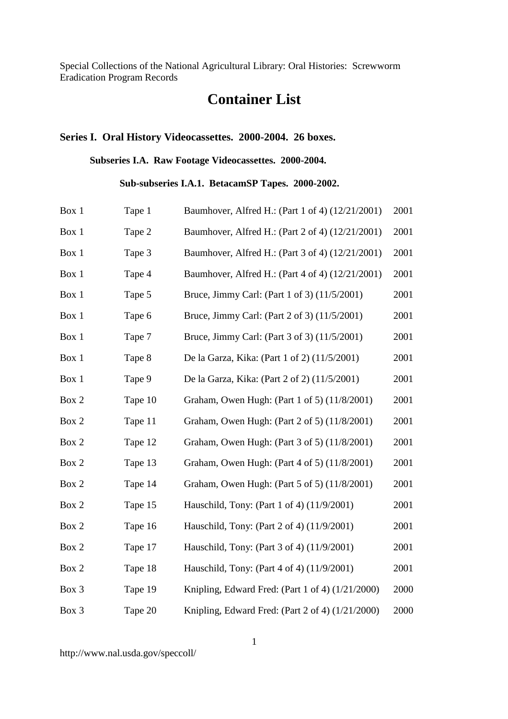# **Container List**

## **Series I. Oral History Videocassettes. 2000-2004. 26 boxes.**

**Subseries I.A. Raw Footage Videocassettes. 2000-2004.**

**Sub-subseries I.A.1. BetacamSP Tapes. 2000-2002.**

| Box 1 | Tape 1  | Baumhover, Alfred H.: (Part 1 of 4) (12/21/2001)   | 2001 |
|-------|---------|----------------------------------------------------|------|
| Box 1 | Tape 2  | Baumhover, Alfred H.: (Part 2 of 4) (12/21/2001)   | 2001 |
| Box 1 | Tape 3  | Baumhover, Alfred H.: (Part 3 of 4) (12/21/2001)   | 2001 |
| Box 1 | Tape 4  | Baumhover, Alfred H.: (Part 4 of 4) (12/21/2001)   | 2001 |
| Box 1 | Tape 5  | Bruce, Jimmy Carl: (Part 1 of 3) (11/5/2001)       | 2001 |
| Box 1 | Tape 6  | Bruce, Jimmy Carl: (Part 2 of 3) (11/5/2001)       | 2001 |
| Box 1 | Tape 7  | Bruce, Jimmy Carl: (Part 3 of 3) (11/5/2001)       | 2001 |
| Box 1 | Tape 8  | De la Garza, Kika: (Part 1 of 2) (11/5/2001)       | 2001 |
| Box 1 | Tape 9  | De la Garza, Kika: (Part 2 of 2) (11/5/2001)       | 2001 |
| Box 2 | Tape 10 | Graham, Owen Hugh: (Part 1 of 5) (11/8/2001)       | 2001 |
| Box 2 | Tape 11 | Graham, Owen Hugh: (Part 2 of 5) (11/8/2001)       | 2001 |
| Box 2 | Tape 12 | Graham, Owen Hugh: (Part 3 of 5) (11/8/2001)       | 2001 |
| Box 2 | Tape 13 | Graham, Owen Hugh: (Part 4 of 5) (11/8/2001)       | 2001 |
| Box 2 | Tape 14 | Graham, Owen Hugh: (Part 5 of 5) (11/8/2001)       | 2001 |
| Box 2 | Tape 15 | Hauschild, Tony: (Part 1 of 4) (11/9/2001)         | 2001 |
| Box 2 | Tape 16 | Hauschild, Tony: (Part 2 of 4) (11/9/2001)         | 2001 |
| Box 2 | Tape 17 | Hauschild, Tony: (Part 3 of 4) (11/9/2001)         | 2001 |
| Box 2 | Tape 18 | Hauschild, Tony: (Part 4 of 4) (11/9/2001)         | 2001 |
| Box 3 | Tape 19 | Knipling, Edward Fred: (Part 1 of 4) $(1/21/2000)$ | 2000 |
| Box 3 | Tape 20 | Knipling, Edward Fred: (Part 2 of 4) $(1/21/2000)$ | 2000 |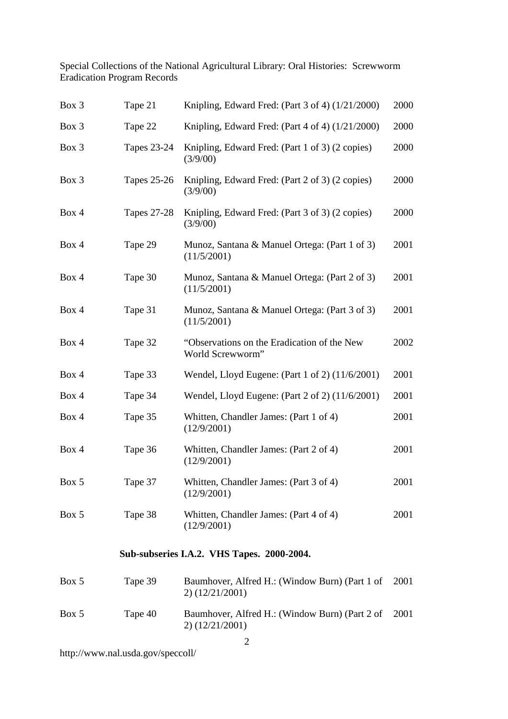| Box 3 | Tape 21            | Knipling, Edward Fred: (Part 3 of 4) (1/21/2000)                    | 2000 |
|-------|--------------------|---------------------------------------------------------------------|------|
| Box 3 | Tape 22            | Knipling, Edward Fred: (Part 4 of 4) (1/21/2000)                    | 2000 |
| Box 3 | <b>Tapes 23-24</b> | Knipling, Edward Fred: (Part 1 of 3) (2 copies)<br>(3/9/00)         | 2000 |
| Box 3 | <b>Tapes 25-26</b> | Knipling, Edward Fred: (Part 2 of 3) (2 copies)<br>(3/9/00)         | 2000 |
| Box 4 | <b>Tapes 27-28</b> | Knipling, Edward Fred: (Part 3 of 3) (2 copies)<br>(3/9/00)         | 2000 |
| Box 4 | Tape 29            | Munoz, Santana & Manuel Ortega: (Part 1 of 3)<br>(11/5/2001)        | 2001 |
| Box 4 | Tape 30            | Munoz, Santana & Manuel Ortega: (Part 2 of 3)<br>(11/5/2001)        | 2001 |
| Box 4 | Tape 31            | Munoz, Santana & Manuel Ortega: (Part 3 of 3)<br>(11/5/2001)        | 2001 |
| Box 4 | Tape 32            | "Observations on the Eradication of the New<br>World Screwworm"     | 2002 |
| Box 4 | Tape 33            | Wendel, Lloyd Eugene: (Part 1 of 2) (11/6/2001)                     | 2001 |
| Box 4 | Tape 34            | Wendel, Lloyd Eugene: (Part 2 of 2) (11/6/2001)                     | 2001 |
| Box 4 | Tape 35            | Whitten, Chandler James: (Part 1 of 4)<br>(12/9/2001)               | 2001 |
| Box 4 | Tape 36            | Whitten, Chandler James: (Part 2 of 4)<br>(12/9/2001)               | 2001 |
| Box 5 | Tape 37            | Whitten, Chandler James: (Part 3 of 4)<br>(12/9/2001)               | 2001 |
| Box 5 | Tape 38            | Whitten, Chandler James: (Part 4 of 4)<br>(12/9/2001)               | 2001 |
|       |                    | Sub-subseries I.A.2. VHS Tapes. 2000-2004.                          |      |
| Box 5 | Tape 39            | Baumhover, Alfred H.: (Window Burn) (Part 1 of<br>$2)$ (12/21/2001) | 2001 |
| Box 5 | Tape 40            | Baumhover, Alfred H.: (Window Burn) (Part 2 of                      | 2001 |

2) (12/21/2001)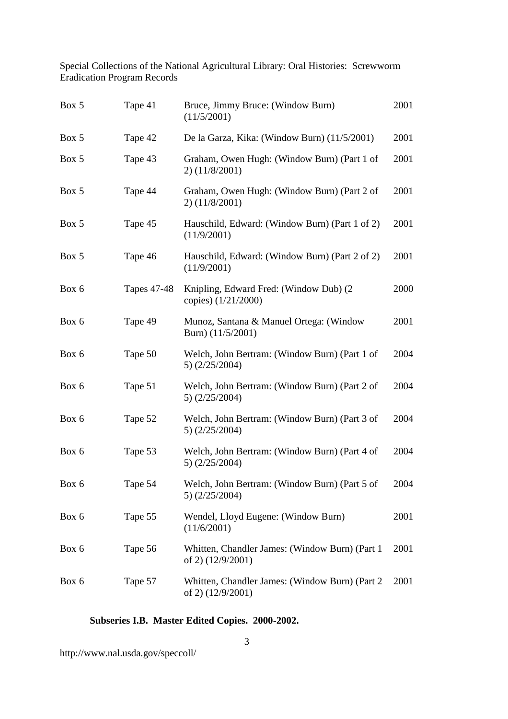| Box 5 | Tape 41            | Bruce, Jimmy Bruce: (Window Burn)<br>(11/5/2001)                     | 2001 |
|-------|--------------------|----------------------------------------------------------------------|------|
| Box 5 | Tape 42            | De la Garza, Kika: (Window Burn) (11/5/2001)                         | 2001 |
| Box 5 | Tape 43            | Graham, Owen Hugh: (Window Burn) (Part 1 of<br>$2)$ (11/8/2001)      | 2001 |
| Box 5 | Tape 44            | Graham, Owen Hugh: (Window Burn) (Part 2 of<br>$2)$ (11/8/2001)      | 2001 |
| Box 5 | Tape 45            | Hauschild, Edward: (Window Burn) (Part 1 of 2)<br>(11/9/2001)        | 2001 |
| Box 5 | Tape 46            | Hauschild, Edward: (Window Burn) (Part 2 of 2)<br>(11/9/2001)        | 2001 |
| Box 6 | <b>Tapes 47-48</b> | Knipling, Edward Fred: (Window Dub) (2)<br>copies) (1/21/2000)       | 2000 |
| Box 6 | Tape 49            | Munoz, Santana & Manuel Ortega: (Window<br>Burn) $(11/5/2001)$       | 2001 |
| Box 6 | Tape 50            | Welch, John Bertram: (Window Burn) (Part 1 of<br>5) $(2/25/2004)$    | 2004 |
| Box 6 | Tape 51            | Welch, John Bertram: (Window Burn) (Part 2 of<br>5) $(2/25/2004)$    | 2004 |
| Box 6 | Tape 52            | Welch, John Bertram: (Window Burn) (Part 3 of<br>$5)$ (2/25/2004)    | 2004 |
| Box 6 | Tape 53            | Welch, John Bertram: (Window Burn) (Part 4 of<br>5) $(2/25/2004)$    | 2004 |
| Box 6 | Tape 54            | Welch, John Bertram: (Window Burn) (Part 5 of<br>$5)$ (2/25/2004)    | 2004 |
| Box 6 | Tape 55            | Wendel, Lloyd Eugene: (Window Burn)<br>(11/6/2001)                   | 2001 |
| Box 6 | Tape 56            | Whitten, Chandler James: (Window Burn) (Part 1)<br>of 2) (12/9/2001) | 2001 |
| Box 6 | Tape 57            | Whitten, Chandler James: (Window Burn) (Part 2<br>of 2) (12/9/2001)  | 2001 |

#### **Subseries I.B. Master Edited Copies. 2000-2002.**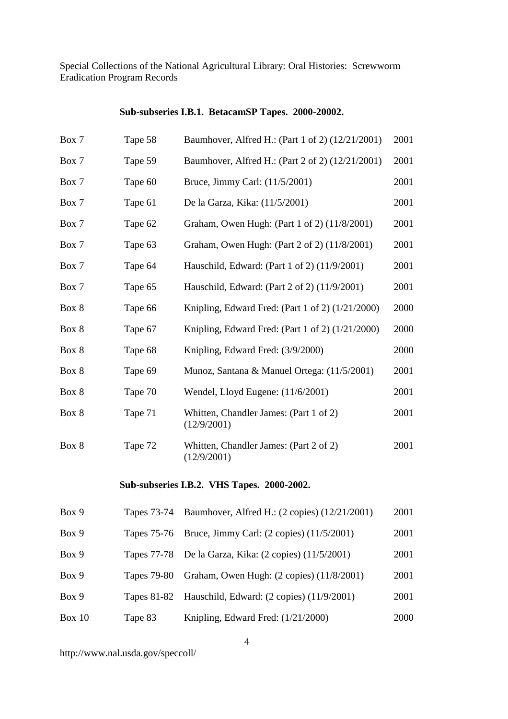## **Sub-subseries I.B.1. BetacamSP Tapes. 2000-20002.**

| Box 7         | Tape 58            | Baumhover, Alfred H.: (Part 1 of 2) (12/21/2001)      | 2001 |
|---------------|--------------------|-------------------------------------------------------|------|
| Box 7         | Tape 59            | Baumhover, Alfred H.: (Part 2 of 2) (12/21/2001)      | 2001 |
| Box 7         | Tape 60            | Bruce, Jimmy Carl: (11/5/2001)                        | 2001 |
| Box 7         | Tape 61            | De la Garza, Kika: (11/5/2001)                        | 2001 |
| Box 7         | Tape 62            | Graham, Owen Hugh: (Part 1 of 2) (11/8/2001)          | 2001 |
| Box 7         | Tape 63            | Graham, Owen Hugh: (Part 2 of 2) (11/8/2001)          | 2001 |
| Box 7         | Tape 64            | Hauschild, Edward: (Part 1 of 2) (11/9/2001)          | 2001 |
| Box 7         | Tape 65            | Hauschild, Edward: (Part 2 of 2) (11/9/2001)          | 2001 |
| Box 8         | Tape 66            | Knipling, Edward Fred: (Part 1 of 2) $(1/21/2000)$    | 2000 |
| Box 8         | Tape 67            | Knipling, Edward Fred: (Part 1 of 2) $(1/21/2000)$    | 2000 |
| Box 8         | Tape 68            | Knipling, Edward Fred: (3/9/2000)                     | 2000 |
| Box 8         | Tape 69            | Munoz, Santana & Manuel Ortega: (11/5/2001)           | 2001 |
| Box 8         | Tape 70            | Wendel, Lloyd Eugene: (11/6/2001)                     | 2001 |
| Box 8         | Tape 71            | Whitten, Chandler James: (Part 1 of 2)<br>(12/9/2001) | 2001 |
| Box 8         | Tape 72            | Whitten, Chandler James: (Part 2 of 2)<br>(12/9/2001) | 2001 |
|               |                    | Sub-subseries I.B.2. VHS Tapes. 2000-2002.            |      |
| Box 9         | Tapes 73-74        | Baumhover, Alfred H.: (2 copies) (12/21/2001)         | 2001 |
| Box 9         | <b>Tapes 75-76</b> | Bruce, Jimmy Carl: (2 copies) (11/5/2001)             | 2001 |
| Box 9         | <b>Tapes 77-78</b> | De la Garza, Kika: (2 copies) (11/5/2001)             | 2001 |
| Box 9         | <b>Tapes 79-80</b> | Graham, Owen Hugh: (2 copies) (11/8/2001)             | 2001 |
| Box 9         | <b>Tapes 81-82</b> | Hauschild, Edward: (2 copies) (11/9/2001)             | 2001 |
| <b>Box 10</b> | Tape 83            | Knipling, Edward Fred: (1/21/2000)                    | 2000 |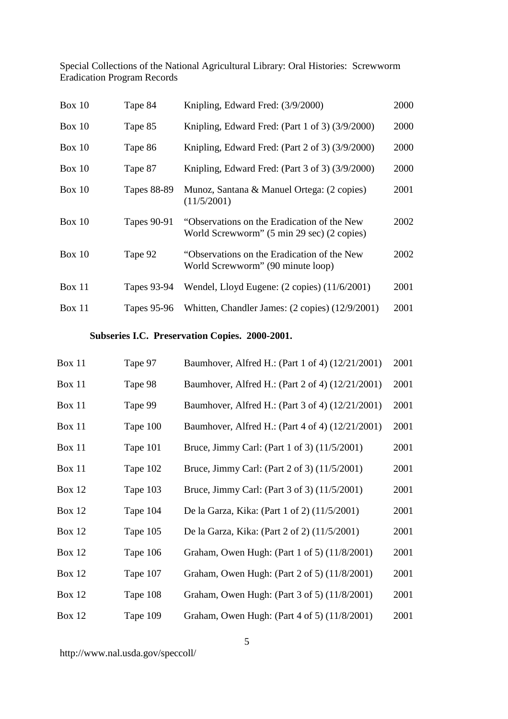| Box $10$      | Tape 84            | Knipling, Edward Fred: (3/9/2000)                                                         | 2000 |
|---------------|--------------------|-------------------------------------------------------------------------------------------|------|
| Box $10$      | Tape 85            | Knipling, Edward Fred: (Part 1 of 3) (3/9/2000)                                           | 2000 |
| Box $10$      | Tape 86            | Knipling, Edward Fred: (Part 2 of 3) (3/9/2000)                                           | 2000 |
| Box $10$      | Tape 87            | Knipling, Edward Fred: (Part 3 of 3) (3/9/2000)                                           | 2000 |
| Box $10$      | <b>Tapes 88-89</b> | Munoz, Santana & Manuel Ortega: (2 copies)<br>(11/5/2001)                                 | 2001 |
| Box $10$      | <b>Tapes 90-91</b> | "Observations on the Eradication of the New<br>World Screwworm" (5 min 29 sec) (2 copies) | 2002 |
| Box $10$      | Tape 92            | "Observations on the Eradication of the New<br>World Screwworm" (90 minute loop)          | 2002 |
| <b>Box 11</b> | Tapes 93-94        | Wendel, Lloyd Eugene: (2 copies) (11/6/2001)                                              | 2001 |
| <b>Box 11</b> | Tapes 95-96        | Whitten, Chandler James: (2 copies) (12/9/2001)                                           | 2001 |

## **Subseries I.C. Preservation Copies. 2000-2001.**

| Box 11        | Tape 97  | Baumhover, Alfred H.: (Part 1 of 4) (12/21/2001) | 2001 |
|---------------|----------|--------------------------------------------------|------|
| Box 11        | Tape 98  | Baumhover, Alfred H.: (Part 2 of 4) (12/21/2001) | 2001 |
| <b>Box 11</b> | Tape 99  | Baumhover, Alfred H.: (Part 3 of 4) (12/21/2001) | 2001 |
| Box 11        | Tape 100 | Baumhover, Alfred H.: (Part 4 of 4) (12/21/2001) | 2001 |
| <b>Box 11</b> | Tape 101 | Bruce, Jimmy Carl: (Part 1 of 3) (11/5/2001)     | 2001 |
| Box 11        | Tape 102 | Bruce, Jimmy Carl: (Part 2 of 3) (11/5/2001)     | 2001 |
| Box $12$      | Tape 103 | Bruce, Jimmy Carl: (Part 3 of 3) (11/5/2001)     | 2001 |
| <b>Box 12</b> | Tape 104 | De la Garza, Kika: (Part 1 of 2) (11/5/2001)     | 2001 |
| <b>Box 12</b> | Tape 105 | De la Garza, Kika: (Part 2 of 2) (11/5/2001)     | 2001 |
| <b>Box 12</b> | Tape 106 | Graham, Owen Hugh: (Part 1 of 5) (11/8/2001)     | 2001 |
| <b>Box 12</b> | Tape 107 | Graham, Owen Hugh: (Part 2 of 5) (11/8/2001)     | 2001 |
| <b>Box 12</b> | Tape 108 | Graham, Owen Hugh: (Part 3 of 5) (11/8/2001)     | 2001 |
| <b>Box 12</b> | Tape 109 | Graham, Owen Hugh: (Part 4 of 5) (11/8/2001)     | 2001 |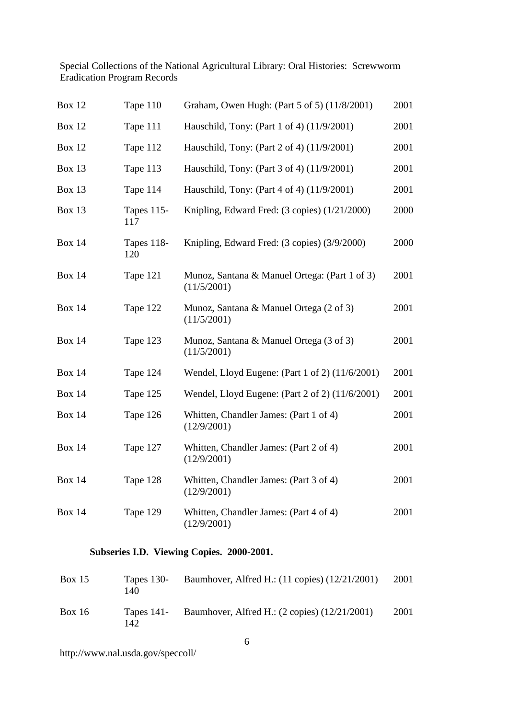| <b>Box 12</b> | Tape 110                 | Graham, Owen Hugh: (Part 5 of 5) (11/8/2001)                 | 2001 |
|---------------|--------------------------|--------------------------------------------------------------|------|
| <b>Box 12</b> | Tape 111                 | Hauschild, Tony: (Part 1 of 4) (11/9/2001)                   | 2001 |
| <b>Box 12</b> | Tape 112                 | Hauschild, Tony: (Part 2 of 4) (11/9/2001)                   | 2001 |
| <b>Box 13</b> | Tape 113                 | Hauschild, Tony: (Part 3 of 4) (11/9/2001)                   | 2001 |
| Box 13        | Tape 114                 | Hauschild, Tony: (Part 4 of 4) (11/9/2001)                   | 2001 |
| <b>Box 13</b> | <b>Tapes 115-</b><br>117 | Knipling, Edward Fred: (3 copies) (1/21/2000)                | 2000 |
| <b>Box 14</b> | Tapes 118-<br>120        | Knipling, Edward Fred: (3 copies) (3/9/2000)                 | 2000 |
| <b>Box 14</b> | Tape 121                 | Munoz, Santana & Manuel Ortega: (Part 1 of 3)<br>(11/5/2001) | 2001 |
| <b>Box 14</b> | Tape 122                 | Munoz, Santana & Manuel Ortega (2 of 3)<br>(11/5/2001)       | 2001 |
| <b>Box 14</b> | Tape 123                 | Munoz, Santana & Manuel Ortega (3 of 3)<br>(11/5/2001)       | 2001 |
| <b>Box 14</b> | Tape 124                 | Wendel, Lloyd Eugene: (Part 1 of 2) (11/6/2001)              | 2001 |
| <b>Box 14</b> | Tape 125                 | Wendel, Lloyd Eugene: (Part 2 of 2) (11/6/2001)              | 2001 |
| <b>Box 14</b> | Tape 126                 | Whitten, Chandler James: (Part 1 of 4)<br>(12/9/2001)        | 2001 |
| <b>Box 14</b> | Tape 127                 | Whitten, Chandler James: (Part 2 of 4)<br>(12/9/2001)        | 2001 |
| <b>Box 14</b> | Tape 128                 | Whitten, Chandler James: (Part 3 of 4)<br>(12/9/2001)        | 2001 |
| <b>Box 14</b> | Tape 129                 | Whitten, Chandler James: (Part 4 of 4)<br>(12/9/2001)        | 2001 |

## **Subseries I.D. Viewing Copies. 2000-2001.**

| Box $15$ | 140 | Tapes 130- Baumhover, Alfred H.: $(11 \text{ copies})$ $(12/21/2001)$ | 2001 |
|----------|-----|-----------------------------------------------------------------------|------|
| Box $16$ | 142 | Tapes 141- Baumhover, Alfred H.: $(2 \text{ copies}) (12/21/2001)$    | 2001 |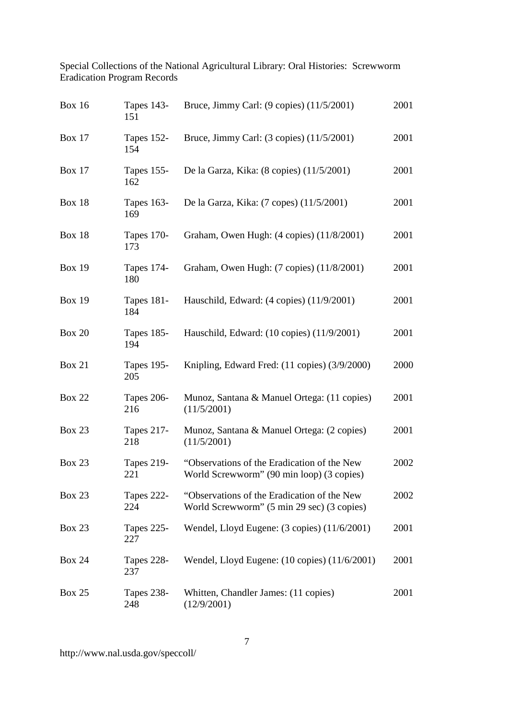| <b>Box 16</b> | <b>Tapes 143-</b><br>151 | Bruce, Jimmy Carl: $(9 \text{ copies})$ $(11/5/2001)$                                     | 2001 |
|---------------|--------------------------|-------------------------------------------------------------------------------------------|------|
| <b>Box 17</b> | Tapes 152-<br>154        | Bruce, Jimmy Carl: (3 copies) (11/5/2001)                                                 | 2001 |
| <b>Box 17</b> | Tapes 155-<br>162        | De la Garza, Kika: (8 copies) (11/5/2001)                                                 | 2001 |
| <b>Box 18</b> | <b>Tapes 163-</b><br>169 | De la Garza, Kika: (7 copes) (11/5/2001)                                                  | 2001 |
| <b>Box 18</b> | <b>Tapes 170-</b><br>173 | Graham, Owen Hugh: (4 copies) (11/8/2001)                                                 | 2001 |
| <b>Box 19</b> | Tapes 174-<br>180        | Graham, Owen Hugh: (7 copies) (11/8/2001)                                                 | 2001 |
| <b>Box 19</b> | <b>Tapes 181-</b><br>184 | Hauschild, Edward: (4 copies) (11/9/2001)                                                 | 2001 |
| <b>Box 20</b> | Tapes 185-<br>194        | Hauschild, Edward: (10 copies) (11/9/2001)                                                | 2001 |
| <b>Box 21</b> | <b>Tapes 195-</b><br>205 | Knipling, Edward Fred: (11 copies) (3/9/2000)                                             | 2000 |
| <b>Box 22</b> | <b>Tapes 206-</b><br>216 | Munoz, Santana & Manuel Ortega: (11 copies)<br>(11/5/2001)                                | 2001 |
| <b>Box 23</b> | <b>Tapes 217-</b><br>218 | Munoz, Santana & Manuel Ortega: (2 copies)<br>(11/5/2001)                                 | 2001 |
| <b>Box 23</b> | <b>Tapes 219-</b><br>221 | "Observations of the Eradication of the New<br>World Screwworm" (90 min loop) (3 copies)  | 2002 |
| <b>Box 23</b> | <b>Tapes 222-</b><br>224 | "Observations of the Eradication of the New<br>World Screwworm" (5 min 29 sec) (3 copies) | 2002 |
| <b>Box 23</b> | Tapes 225-<br>227        | Wendel, Lloyd Eugene: $(3 \text{ copies})$ $(11/6/2001)$                                  | 2001 |
| <b>Box 24</b> | Tapes 228-<br>237        | Wendel, Lloyd Eugene: (10 copies) (11/6/2001)                                             | 2001 |
| <b>Box 25</b> | <b>Tapes 238-</b><br>248 | Whitten, Chandler James: (11 copies)<br>(12/9/2001)                                       | 2001 |